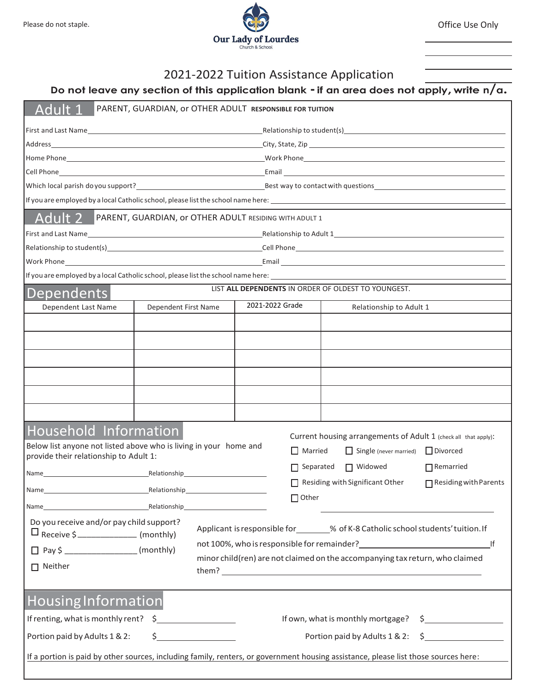

## 2021-2022 Tuition Assistance Application

## **<sup>D</sup><sup>o</sup> not leave any section of this application blank - if an area does not apply, write n/a.**

| Adult<br>PARENT, GUARDIAN, or OTHER ADULT RESPONSIBLE FOR TUITION                                                                                                                                          |                                                                                                                         |                  |                         |                  |  |  |  |  |
|------------------------------------------------------------------------------------------------------------------------------------------------------------------------------------------------------------|-------------------------------------------------------------------------------------------------------------------------|------------------|-------------------------|------------------|--|--|--|--|
|                                                                                                                                                                                                            |                                                                                                                         |                  |                         |                  |  |  |  |  |
|                                                                                                                                                                                                            |                                                                                                                         |                  |                         |                  |  |  |  |  |
|                                                                                                                                                                                                            |                                                                                                                         |                  |                         |                  |  |  |  |  |
|                                                                                                                                                                                                            |                                                                                                                         |                  |                         |                  |  |  |  |  |
| Which local parish do you support?<br><u>Best way to contact with questions</u>                                                                                                                            |                                                                                                                         |                  |                         |                  |  |  |  |  |
|                                                                                                                                                                                                            |                                                                                                                         |                  |                         |                  |  |  |  |  |
|                                                                                                                                                                                                            | Adult 2 PARENT, GUARDIAN, or OTHER ADULT RESIDING WITH ADULT 1                                                          |                  |                         |                  |  |  |  |  |
| First and Last Name                                                                                                                                                                                        |                                                                                                                         |                  |                         |                  |  |  |  |  |
|                                                                                                                                                                                                            |                                                                                                                         |                  |                         |                  |  |  |  |  |
|                                                                                                                                                                                                            |                                                                                                                         |                  |                         |                  |  |  |  |  |
|                                                                                                                                                                                                            |                                                                                                                         |                  |                         |                  |  |  |  |  |
| LIST ALL DEPENDENTS IN ORDER OF OLDEST TO YOUNGEST.<br><b>Dependents</b>                                                                                                                                   |                                                                                                                         |                  |                         |                  |  |  |  |  |
| Dependent Last Name                                                                                                                                                                                        | Dependent First Name                                                                                                    | 2021-2022 Grade  | Relationship to Adult 1 |                  |  |  |  |  |
|                                                                                                                                                                                                            |                                                                                                                         |                  |                         |                  |  |  |  |  |
|                                                                                                                                                                                                            |                                                                                                                         |                  |                         |                  |  |  |  |  |
|                                                                                                                                                                                                            |                                                                                                                         |                  |                         |                  |  |  |  |  |
|                                                                                                                                                                                                            |                                                                                                                         |                  |                         |                  |  |  |  |  |
|                                                                                                                                                                                                            |                                                                                                                         |                  |                         |                  |  |  |  |  |
|                                                                                                                                                                                                            |                                                                                                                         |                  |                         |                  |  |  |  |  |
|                                                                                                                                                                                                            |                                                                                                                         |                  |                         |                  |  |  |  |  |
| <b>Household Information</b>                                                                                                                                                                               |                                                                                                                         |                  |                         |                  |  |  |  |  |
| Current housing arrangements of Adult 1 (check all that apply):<br>Below list anyone not listed above who is living in your home and<br>$\Box$ Married<br>$\Box$ Divorced<br>$\Box$ Single (never married) |                                                                                                                         |                  |                         |                  |  |  |  |  |
| provide their relationship to Adult 1:                                                                                                                                                                     |                                                                                                                         |                  |                         |                  |  |  |  |  |
|                                                                                                                                                                                                            |                                                                                                                         | $\Box$ Separated | □ Widowed               | $\Box$ Remarried |  |  |  |  |
| Name                                                                                                                                                                                                       | Residing with Significant Other<br>$\Box$ Residing with Parents<br><b>Example 2018</b> Relationship <b>Relationship</b> |                  |                         |                  |  |  |  |  |
|                                                                                                                                                                                                            | $\Box$ Other                                                                                                            |                  |                         |                  |  |  |  |  |
| Do you receive and/or pay child support?                                                                                                                                                                   |                                                                                                                         |                  |                         |                  |  |  |  |  |
| Applicant is responsible for _______% of K-8 Catholic school students' tuition. If<br>$\Box$ Receive \$ _________________ (monthly)                                                                        |                                                                                                                         |                  |                         |                  |  |  |  |  |
| not 100%, who is responsible for remainder?<br>If<br>□ Pay \$ ___________________(monthly)                                                                                                                 |                                                                                                                         |                  |                         |                  |  |  |  |  |
| minor child(ren) are not claimed on the accompanying tax return, who claimed<br>$\Box$ Neither                                                                                                             |                                                                                                                         |                  |                         |                  |  |  |  |  |
|                                                                                                                                                                                                            |                                                                                                                         |                  |                         |                  |  |  |  |  |
| <b>Housing Information</b>                                                                                                                                                                                 |                                                                                                                         |                  |                         |                  |  |  |  |  |
| If renting, what is monthly rent? $\sin \frac{1}{2}$<br>If own, what is monthly mortgage? \$                                                                                                               |                                                                                                                         |                  |                         |                  |  |  |  |  |
| $\frac{1}{2}$<br>Portion paid by Adults 1 & 2:<br>Portion paid by Adults 1 & 2:                                                                                                                            |                                                                                                                         |                  |                         |                  |  |  |  |  |
| If a portion is paid by other sources, including family, renters, or government housing assistance, please list those sources here:                                                                        |                                                                                                                         |                  |                         |                  |  |  |  |  |
|                                                                                                                                                                                                            |                                                                                                                         |                  |                         |                  |  |  |  |  |
|                                                                                                                                                                                                            |                                                                                                                         |                  |                         |                  |  |  |  |  |